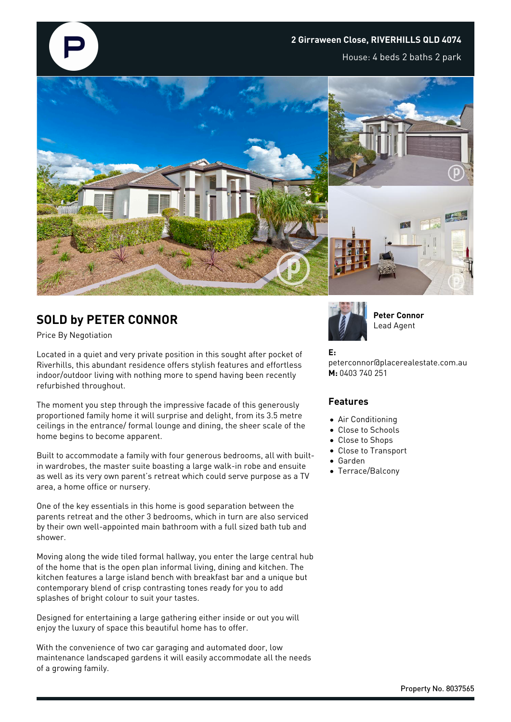

## **SOLD by PETER CONNOR**

Price By Negotiation

Located in a quiet and very private position in this sought after pocket of Riverhills, this abundant residence offers stylish features and effortless indoor/outdoor living with nothing more to spend having been recently refurbished throughout.

The moment you step through the impressive facade of this generously proportioned family home it will surprise and delight, from its 3.5 metre ceilings in the entrance/ formal lounge and dining, the sheer scale of the home begins to become apparent.

Built to accommodate a family with four generous bedrooms, all with builtin wardrobes, the master suite boasting a large walk-in robe and ensuite as well as its very own parent's retreat which could serve purpose as a TV area, a home office or nursery.

One of the key essentials in this home is good separation between the parents retreat and the other 3 bedrooms, which in turn are also serviced by their own well-appointed main bathroom with a full sized bath tub and shower.

Moving along the wide tiled formal hallway, you enter the large central hub of the home that is the open plan informal living, dining and kitchen. The kitchen features a large island bench with breakfast bar and a unique but contemporary blend of crisp contrasting tones ready for you to add splashes of bright colour to suit your tastes.

Designed for entertaining a large gathering either inside or out you will enjoy the luxury of space this beautiful home has to offer.

With the convenience of two car garaging and automated door, low maintenance landscaped gardens it will easily accommodate all the needs of a growing family.



**Peter Connor** Lead Agent

## **E:**

peterconnor@placerealestate.com.au **M:** 0403 740 251

## **Features**

- Air Conditioning
- Close to Schools
- Close to Shops
- Close to Transport
- Garden
- Terrace/Balcony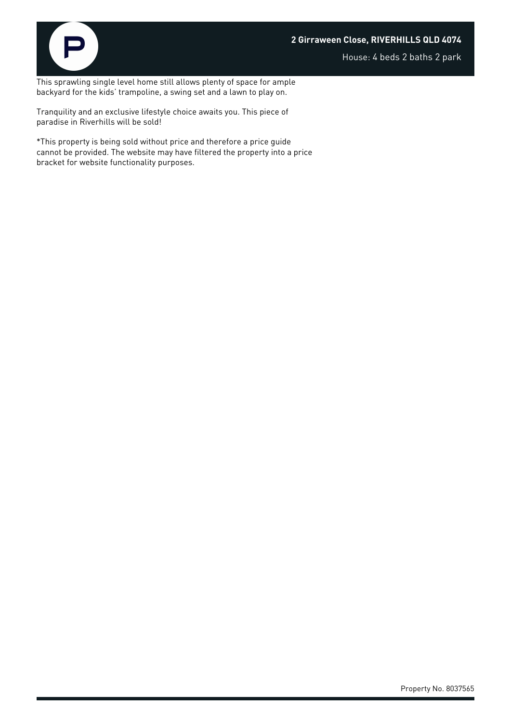



House: 4 beds 2 baths 2 park

This sprawling single level home still allows plenty of space for ample backyard for the kids' trampoline, a swing set and a lawn to play on.

Tranquility and an exclusive lifestyle choice awaits you. This piece of paradise in Riverhills will be sold!

\*This property is being sold without price and therefore a price guide cannot be provided. The website may have filtered the property into a price bracket for website functionality purposes.